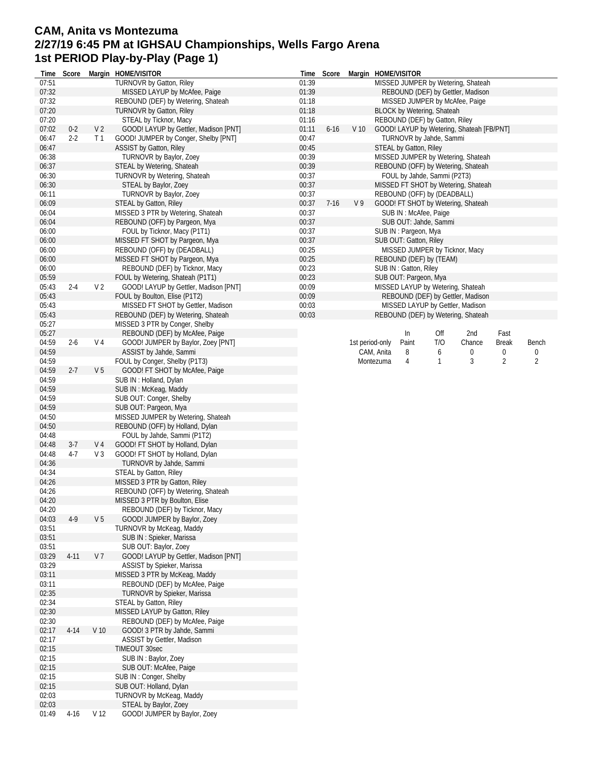## **CAM, Anita vs Montezuma 2/27/19 6:45 PM at IGHSAU Championships, Wells Fargo Arena 1st PERIOD Play-by-Play (Page 1)**

| Time  | Score    |                 | Margin HOME/VISITOR                   | Time  | Score    |                 | Margin HOME/VISITOR                       |              |        |                |       |
|-------|----------|-----------------|---------------------------------------|-------|----------|-----------------|-------------------------------------------|--------------|--------|----------------|-------|
| 07:51 |          |                 | <b>TURNOVR by Gatton, Riley</b>       | 01:39 |          |                 | MISSED JUMPER by Wetering, Shateah        |              |        |                |       |
| 07:32 |          |                 | MISSED LAYUP by McAfee, Paige         | 01:39 |          |                 | REBOUND (DEF) by Gettler, Madison         |              |        |                |       |
| 07:32 |          |                 | REBOUND (DEF) by Wetering, Shateah    | 01:18 |          |                 | MISSED JUMPER by McAfee, Paige            |              |        |                |       |
| 07:20 |          |                 | <b>TURNOVR by Gatton, Riley</b>       | 01:18 |          |                 | <b>BLOCK by Wetering, Shateah</b>         |              |        |                |       |
| 07:20 |          |                 | STEAL by Ticknor, Macy                | 01:16 |          |                 | REBOUND (DEF) by Gatton, Riley            |              |        |                |       |
| 07:02 | $0 - 2$  | V <sub>2</sub>  | GOOD! LAYUP by Gettler, Madison [PNT] | 01:11 | $6 - 16$ | V <sub>10</sub> | GOOD! LAYUP by Wetering, Shateah [FB/PNT] |              |        |                |       |
| 06:47 | $2-2$    | T <sub>1</sub>  | GOOD! JUMPER by Conger, Shelby [PNT]  | 00:47 |          |                 | TURNOVR by Jahde, Sammi                   |              |        |                |       |
| 06:47 |          |                 | <b>ASSIST by Gatton, Riley</b>        | 00:45 |          |                 | STEAL by Gatton, Riley                    |              |        |                |       |
| 06:38 |          |                 | <b>TURNOVR by Baylor, Zoey</b>        | 00:39 |          |                 | MISSED JUMPER by Wetering, Shateah        |              |        |                |       |
| 06:37 |          |                 | STEAL by Wetering, Shateah            | 00:39 |          |                 | REBOUND (OFF) by Wetering, Shateah        |              |        |                |       |
| 06:30 |          |                 | TURNOVR by Wetering, Shateah          | 00:37 |          |                 | FOUL by Jahde, Sammi (P2T3)               |              |        |                |       |
| 06:30 |          |                 | STEAL by Baylor, Zoey                 | 00:37 |          |                 | MISSED FT SHOT by Wetering, Shateah       |              |        |                |       |
| 06:11 |          |                 | TURNOVR by Baylor, Zoey               | 00:37 |          |                 | REBOUND (OFF) by (DEADBALL)               |              |        |                |       |
| 06:09 |          |                 | <b>STEAL by Gatton, Riley</b>         | 00:37 | $7 - 16$ | V <sub>9</sub>  | GOOD! FT SHOT by Wetering, Shateah        |              |        |                |       |
| 06:04 |          |                 | MISSED 3 PTR by Wetering, Shateah     | 00:37 |          |                 | SUB IN : McAfee, Paige                    |              |        |                |       |
| 06:04 |          |                 | REBOUND (OFF) by Pargeon, Mya         | 00:37 |          |                 | SUB OUT: Jahde, Sammi                     |              |        |                |       |
| 06:00 |          |                 | FOUL by Ticknor, Macy (P1T1)          | 00:37 |          |                 | SUB IN: Pargeon, Mya                      |              |        |                |       |
| 06:00 |          |                 | MISSED FT SHOT by Pargeon, Mya        | 00:37 |          |                 | SUB OUT: Gatton, Riley                    |              |        |                |       |
| 06:00 |          |                 | REBOUND (OFF) by (DEADBALL)           | 00:25 |          |                 | MISSED JUMPER by Ticknor, Macy            |              |        |                |       |
| 06:00 |          |                 | MISSED FT SHOT by Pargeon, Mya        | 00:25 |          |                 | REBOUND (DEF) by (TEAM)                   |              |        |                |       |
| 06:00 |          |                 | REBOUND (DEF) by Ticknor, Macy        | 00:23 |          |                 | SUB IN: Gatton, Riley                     |              |        |                |       |
| 05:59 |          |                 | FOUL by Wetering, Shateah (P1T1)      | 00:23 |          |                 | SUB OUT: Pargeon, Mya                     |              |        |                |       |
| 05:43 | $2 - 4$  | V <sub>2</sub>  | GOOD! LAYUP by Gettler, Madison [PNT] | 00:09 |          |                 | MISSED LAYUP by Wetering, Shateah         |              |        |                |       |
| 05:43 |          |                 | FOUL by Boulton, Elise (P1T2)         | 00:09 |          |                 | REBOUND (DEF) by Gettler, Madison         |              |        |                |       |
| 05:43 |          |                 | MISSED FT SHOT by Gettler, Madison    | 00:03 |          |                 | MISSED LAYUP by Gettler, Madison          |              |        |                |       |
| 05:43 |          |                 | REBOUND (DEF) by Wetering, Shateah    | 00:03 |          |                 | REBOUND (DEF) by Wetering, Shateah        |              |        |                |       |
| 05:27 |          |                 | MISSED 3 PTR by Conger, Shelby        |       |          |                 |                                           |              |        |                |       |
| 05:27 |          |                 | REBOUND (DEF) by McAfee, Paige        |       |          |                 | In                                        | Off          | 2nd    | Fast           |       |
| 04:59 | $2 - 6$  | V 4             | GOOD! JUMPER by Baylor, Zoey [PNT]    |       |          | 1st period-only | Paint                                     | T/O          | Chance | <b>Break</b>   | Bench |
| 04:59 |          |                 | ASSIST by Jahde, Sammi                |       |          |                 | CAM, Anita<br>8                           | 6            | 0      | 0              | 0     |
| 04:59 |          |                 | FOUL by Conger, Shelby (P1T3)         |       |          |                 | Montezuma<br>4                            | $\mathbf{1}$ | 3      | $\overline{2}$ | 2     |
| 04:59 | $2 - 7$  | V <sub>5</sub>  | GOOD! FT SHOT by McAfee, Paige        |       |          |                 |                                           |              |        |                |       |
| 04:59 |          |                 | SUB IN: Holland, Dylan                |       |          |                 |                                           |              |        |                |       |
| 04:59 |          |                 | SUB IN: McKeag, Maddy                 |       |          |                 |                                           |              |        |                |       |
| 04:59 |          |                 | SUB OUT: Conger, Shelby               |       |          |                 |                                           |              |        |                |       |
| 04:59 |          |                 | SUB OUT: Pargeon, Mya                 |       |          |                 |                                           |              |        |                |       |
| 04:50 |          |                 | MISSED JUMPER by Wetering, Shateah    |       |          |                 |                                           |              |        |                |       |
| 04:50 |          |                 | REBOUND (OFF) by Holland, Dylan       |       |          |                 |                                           |              |        |                |       |
| 04:48 |          |                 | FOUL by Jahde, Sammi (P1T2)           |       |          |                 |                                           |              |        |                |       |
| 04:48 | $3-7$    | V 4             | GOOD! FT SHOT by Holland, Dylan       |       |          |                 |                                           |              |        |                |       |
| 04:48 | $4-7$    | V3              | GOOD! FT SHOT by Holland, Dylan       |       |          |                 |                                           |              |        |                |       |
| 04:36 |          |                 | TURNOVR by Jahde, Sammi               |       |          |                 |                                           |              |        |                |       |
| 04:34 |          |                 | <b>STEAL by Gatton, Riley</b>         |       |          |                 |                                           |              |        |                |       |
| 04:26 |          |                 | MISSED 3 PTR by Gatton, Riley         |       |          |                 |                                           |              |        |                |       |
| 04:26 |          |                 | REBOUND (OFF) by Wetering, Shateah    |       |          |                 |                                           |              |        |                |       |
| 04:20 |          |                 | MISSED 3 PTR by Boulton, Elise        |       |          |                 |                                           |              |        |                |       |
| 04:20 |          |                 | REBOUND (DEF) by Ticknor, Macy        |       |          |                 |                                           |              |        |                |       |
| 04:03 | $4-9$    | V <sub>5</sub>  | GOOD! JUMPER by Baylor, Zoey          |       |          |                 |                                           |              |        |                |       |
| 03:51 |          |                 | TURNOVR by McKeag, Maddy              |       |          |                 |                                           |              |        |                |       |
| 03:51 |          |                 | SUB IN: Spieker, Marissa              |       |          |                 |                                           |              |        |                |       |
| 03:51 |          |                 | SUB OUT: Baylor, Zoey                 |       |          |                 |                                           |              |        |                |       |
| 03:29 | $4 - 11$ | V 7             | GOOD! LAYUP by Gettler, Madison [PNT] |       |          |                 |                                           |              |        |                |       |
| 03:29 |          |                 | ASSIST by Spieker, Marissa            |       |          |                 |                                           |              |        |                |       |
| 03:11 |          |                 | MISSED 3 PTR by McKeag, Maddy         |       |          |                 |                                           |              |        |                |       |
| 03:11 |          |                 | REBOUND (DEF) by McAfee, Paige        |       |          |                 |                                           |              |        |                |       |
| 02:35 |          |                 | TURNOVR by Spieker, Marissa           |       |          |                 |                                           |              |        |                |       |
| 02:34 |          |                 | STEAL by Gatton, Riley                |       |          |                 |                                           |              |        |                |       |
| 02:30 |          |                 | MISSED LAYUP by Gatton, Riley         |       |          |                 |                                           |              |        |                |       |
| 02:30 |          |                 | REBOUND (DEF) by McAfee, Paige        |       |          |                 |                                           |              |        |                |       |
| 02:17 | $4 - 14$ | V <sub>10</sub> | GOOD! 3 PTR by Jahde, Sammi           |       |          |                 |                                           |              |        |                |       |
| 02:17 |          |                 | <b>ASSIST by Gettler, Madison</b>     |       |          |                 |                                           |              |        |                |       |
| 02:15 |          |                 | TIMEOUT 30sec                         |       |          |                 |                                           |              |        |                |       |
| 02:15 |          |                 | SUB IN: Baylor, Zoey                  |       |          |                 |                                           |              |        |                |       |
| 02:15 |          |                 | SUB OUT: McAfee, Paige                |       |          |                 |                                           |              |        |                |       |
| 02:15 |          |                 | SUB IN: Conger, Shelby                |       |          |                 |                                           |              |        |                |       |
| 02:15 |          |                 | SUB OUT: Holland, Dylan               |       |          |                 |                                           |              |        |                |       |
| 02:03 |          |                 | TURNOVR by McKeag, Maddy              |       |          |                 |                                           |              |        |                |       |
| 02:03 |          |                 | STEAL by Baylor, Zoey                 |       |          |                 |                                           |              |        |                |       |
| 01:49 | $4-16$   | V <sub>12</sub> | GOOD! JUMPER by Baylor, Zoey          |       |          |                 |                                           |              |        |                |       |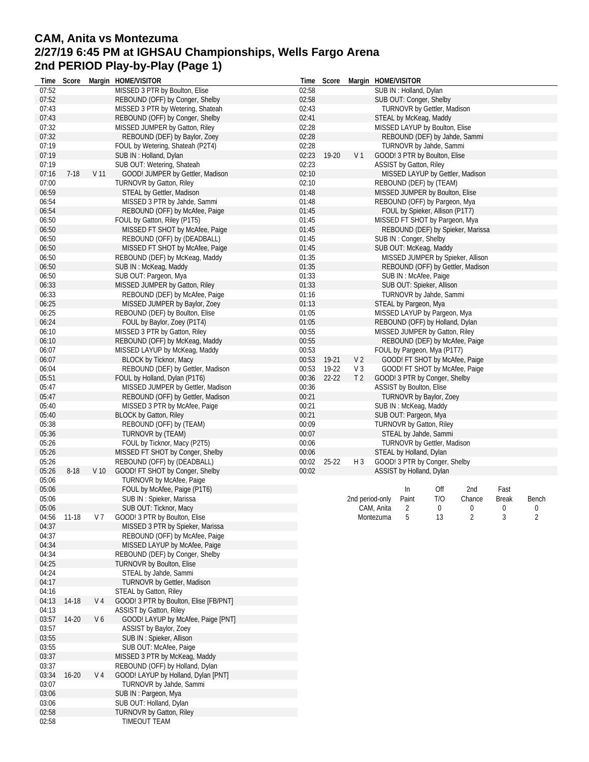## **CAM, Anita vs Montezuma 2/27/19 6:45 PM at IGHSAU Championships, Wells Fargo Arena 2nd PERIOD Play-by-Play (Page 1)**

| Time  | Score     |                 | Margin HOME/VISITOR                    |       | Time Score  |                 |              | Margin HOME/VISITOR             |          |                                   |              |          |
|-------|-----------|-----------------|----------------------------------------|-------|-------------|-----------------|--------------|---------------------------------|----------|-----------------------------------|--------------|----------|
| 07:52 |           |                 | MISSED 3 PTR by Boulton, Elise         | 02:58 |             |                 |              | SUB IN: Holland, Dylan          |          |                                   |              |          |
| 07:52 |           |                 | REBOUND (OFF) by Conger, Shelby        | 02:58 |             |                 |              | SUB OUT: Conger, Shelby         |          |                                   |              |          |
| 07:43 |           |                 | MISSED 3 PTR by Wetering, Shateah      | 02:43 |             |                 |              | TURNOVR by Gettler, Madison     |          |                                   |              |          |
| 07:43 |           |                 | REBOUND (OFF) by Conger, Shelby        | 02:41 |             |                 |              | STEAL by McKeag, Maddy          |          |                                   |              |          |
| 07:32 |           |                 | MISSED JUMPER by Gatton, Riley         | 02:28 |             |                 |              | MISSED LAYUP by Boulton, Elise  |          |                                   |              |          |
| 07:32 |           |                 | REBOUND (DEF) by Baylor, Zoey          | 02:28 |             |                 |              | REBOUND (DEF) by Jahde, Sammi   |          |                                   |              |          |
| 07:19 |           |                 | FOUL by Wetering, Shateah (P2T4)       | 02:28 |             |                 |              | TURNOVR by Jahde, Sammi         |          |                                   |              |          |
| 07:19 |           |                 | SUB IN: Holland, Dylan                 |       | 02:23 19-20 | V <sub>1</sub>  |              | GOOD! 3 PTR by Boulton, Elise   |          |                                   |              |          |
| 07:19 |           |                 | SUB OUT: Wetering, Shateah             | 02:23 |             |                 |              | <b>ASSIST by Gatton, Riley</b>  |          |                                   |              |          |
| 07:16 | $7-18$    | V <sub>11</sub> | GOOD! JUMPER by Gettler, Madison       | 02:10 |             |                 |              |                                 |          | MISSED LAYUP by Gettler, Madison  |              |          |
| 07:00 |           |                 | TURNOVR by Gatton, Riley               | 02:10 |             |                 |              | REBOUND (DEF) by (TEAM)         |          |                                   |              |          |
| 06:59 |           |                 | STEAL by Gettler, Madison              | 01:48 |             |                 |              | MISSED JUMPER by Boulton, Elise |          |                                   |              |          |
| 06:54 |           |                 | MISSED 3 PTR by Jahde, Sammi           | 01:48 |             |                 |              | REBOUND (OFF) by Pargeon, Mya   |          |                                   |              |          |
| 06:54 |           |                 | REBOUND (OFF) by McAfee, Paige         | 01:45 |             |                 |              | FOUL by Spieker, Allison (P1T7) |          |                                   |              |          |
| 06:50 |           |                 | FOUL by Gatton, Riley (P1T5)           | 01:45 |             |                 |              | MISSED FT SHOT by Pargeon, Mya  |          |                                   |              |          |
| 06:50 |           |                 | MISSED FT SHOT by McAfee, Paige        | 01:45 |             |                 |              |                                 |          | REBOUND (DEF) by Spieker, Marissa |              |          |
| 06:50 |           |                 | REBOUND (OFF) by (DEADBALL)            | 01:45 |             |                 |              | SUB IN: Conger, Shelby          |          |                                   |              |          |
| 06:50 |           |                 | MISSED FT SHOT by McAfee, Paige        | 01:45 |             |                 |              | SUB OUT: McKeag, Maddy          |          |                                   |              |          |
| 06:50 |           |                 | REBOUND (DEF) by McKeag, Maddy         | 01:35 |             |                 |              |                                 |          | MISSED JUMPER by Spieker, Allison |              |          |
| 06:50 |           |                 | SUB IN: McKeag, Maddy                  | 01:35 |             |                 |              |                                 |          | REBOUND (OFF) by Gettler, Madison |              |          |
| 06:50 |           |                 | SUB OUT: Pargeon, Mya                  | 01:33 |             |                 |              | SUB IN: McAfee, Paige           |          |                                   |              |          |
| 06:33 |           |                 | MISSED JUMPER by Gatton, Riley         | 01:33 |             |                 |              | SUB OUT: Spieker, Allison       |          |                                   |              |          |
| 06:33 |           |                 | REBOUND (DEF) by McAfee, Paige         | 01:16 |             |                 |              | TURNOVR by Jahde, Sammi         |          |                                   |              |          |
| 06:25 |           |                 | MISSED JUMPER by Baylor, Zoey          | 01:13 |             |                 |              | STEAL by Pargeon, Mya           |          |                                   |              |          |
| 06:25 |           |                 | REBOUND (DEF) by Boulton, Elise        | 01:05 |             |                 |              | MISSED LAYUP by Pargeon, Mya    |          |                                   |              |          |
| 06:24 |           |                 | FOUL by Baylor, Zoey (P1T4)            | 01:05 |             |                 |              | REBOUND (OFF) by Holland, Dylan |          |                                   |              |          |
| 06:10 |           |                 | MISSED 3 PTR by Gatton, Riley          | 00:55 |             |                 |              | MISSED JUMPER by Gatton, Riley  |          |                                   |              |          |
| 06:10 |           |                 | REBOUND (OFF) by McKeag, Maddy         | 00:55 |             |                 |              |                                 |          | REBOUND (DEF) by McAfee, Paige    |              |          |
| 06:07 |           |                 | MISSED LAYUP by McKeag, Maddy          | 00:53 |             |                 |              | FOUL by Pargeon, Mya (P1T7)     |          |                                   |              |          |
| 06:07 |           |                 | <b>BLOCK by Ticknor, Macy</b>          | 00:53 | 19-21       | V <sub>2</sub>  |              | GOOD! FT SHOT by McAfee, Paige  |          |                                   |              |          |
| 06:04 |           |                 | REBOUND (DEF) by Gettler, Madison      | 00:53 | 19-22       | $V_3$           |              |                                 |          | GOOD! FT SHOT by McAfee, Paige    |              |          |
| 05:51 |           |                 | FOUL by Holland, Dylan (P1T6)          | 00:36 | $22 - 22$   | T <sub>2</sub>  |              | GOOD! 3 PTR by Conger, Shelby   |          |                                   |              |          |
| 05:47 |           |                 | MISSED JUMPER by Gettler, Madison      | 00:36 |             |                 |              | <b>ASSIST by Boulton, Elise</b> |          |                                   |              |          |
| 05:47 |           |                 | REBOUND (OFF) by Gettler, Madison      | 00:21 |             |                 |              | TURNOVR by Baylor, Zoey         |          |                                   |              |          |
| 05:40 |           |                 | MISSED 3 PTR by McAfee, Paige          | 00:21 |             |                 |              | SUB IN: McKeag, Maddy           |          |                                   |              |          |
| 05:40 |           |                 | <b>BLOCK by Gatton, Riley</b>          | 00:21 |             |                 |              | SUB OUT: Pargeon, Mya           |          |                                   |              |          |
| 05:38 |           |                 | REBOUND (OFF) by (TEAM)                | 00:09 |             |                 |              | TURNOVR by Gatton, Riley        |          |                                   |              |          |
| 05:36 |           |                 | TURNOVR by (TEAM)                      | 00:07 |             |                 |              | STEAL by Jahde, Sammi           |          |                                   |              |          |
| 05:26 |           |                 | FOUL by Ticknor, Macy (P2T5)           | 00:06 |             |                 |              | TURNOVR by Gettler, Madison     |          |                                   |              |          |
| 05:26 |           |                 | MISSED FT SHOT by Conger, Shelby       | 00:06 |             |                 |              | STEAL by Holland, Dylan         |          |                                   |              |          |
| 05:26 |           |                 | REBOUND (OFF) by (DEADBALL)            | 00:02 | $25 - 22$   | $H_3$           |              | GOOD! 3 PTR by Conger, Shelby   |          |                                   |              |          |
| 05:26 | $8 - 18$  | V <sub>10</sub> | GOOD! FT SHOT by Conger, Shelby        | 00:02 |             |                 |              | ASSIST by Holland, Dylan        |          |                                   |              |          |
| 05:06 |           |                 | TURNOVR by McAfee, Paige               |       |             |                 |              |                                 |          |                                   |              |          |
| 05:06 |           |                 | FOUL by McAfee, Paige (P1T6)           |       |             |                 |              | In                              | Off      | 2nd                               | Fast         |          |
| 05:06 |           |                 | SUB IN: Spieker, Marissa               |       |             | 2nd period-only |              | Paint                           | T/O      | Chance                            | <b>Break</b> | Bench    |
| 05:06 |           |                 | SUB OUT: Ticknor, Macy                 |       |             |                 | CAM, Anita 2 |                                 | $\Omega$ | $\mathbf{0}$                      | $\Omega$     | $\Omega$ |
| 04:56 | 11-18     | V 7             | GOOD! 3 PTR by Boulton, Elise          |       |             |                 | Montezuma    | 5                               | 13       | $\overline{2}$                    | 3            | 2        |
| 04:37 |           |                 | MISSED 3 PTR by Spieker, Marissa       |       |             |                 |              |                                 |          |                                   |              |          |
| 04:37 |           |                 | REBOUND (OFF) by McAfee, Paige         |       |             |                 |              |                                 |          |                                   |              |          |
| 04:34 |           |                 | MISSED LAYUP by McAfee, Paige          |       |             |                 |              |                                 |          |                                   |              |          |
| 04:34 |           |                 | REBOUND (DEF) by Conger, Shelby        |       |             |                 |              |                                 |          |                                   |              |          |
| 04:25 |           |                 | TURNOVR by Boulton, Elise              |       |             |                 |              |                                 |          |                                   |              |          |
| 04:24 |           |                 | STEAL by Jahde, Sammi                  |       |             |                 |              |                                 |          |                                   |              |          |
| 04:17 |           |                 | TURNOVR by Gettler, Madison            |       |             |                 |              |                                 |          |                                   |              |          |
| 04:16 |           |                 | STEAL by Gatton, Riley                 |       |             |                 |              |                                 |          |                                   |              |          |
| 04:13 | 14-18     | V 4             | GOOD! 3 PTR by Boulton, Elise [FB/PNT] |       |             |                 |              |                                 |          |                                   |              |          |
| 04:13 |           |                 | ASSIST by Gatton, Riley                |       |             |                 |              |                                 |          |                                   |              |          |
| 03:57 | 14-20     | V6              | GOOD! LAYUP by McAfee, Paige [PNT]     |       |             |                 |              |                                 |          |                                   |              |          |
| 03:57 |           |                 | ASSIST by Baylor, Zoey                 |       |             |                 |              |                                 |          |                                   |              |          |
| 03:55 |           |                 | SUB IN: Spieker, Allison               |       |             |                 |              |                                 |          |                                   |              |          |
| 03:55 |           |                 | SUB OUT: McAfee, Paige                 |       |             |                 |              |                                 |          |                                   |              |          |
| 03:37 |           |                 | MISSED 3 PTR by McKeag, Maddy          |       |             |                 |              |                                 |          |                                   |              |          |
| 03:37 |           |                 | REBOUND (OFF) by Holland, Dylan        |       |             |                 |              |                                 |          |                                   |              |          |
| 03:34 | $16 - 20$ | V <sub>4</sub>  | GOOD! LAYUP by Holland, Dylan [PNT]    |       |             |                 |              |                                 |          |                                   |              |          |
| 03:07 |           |                 | TURNOVR by Jahde, Sammi                |       |             |                 |              |                                 |          |                                   |              |          |
| 03:06 |           |                 | SUB IN: Pargeon, Mya                   |       |             |                 |              |                                 |          |                                   |              |          |
| 03:06 |           |                 | SUB OUT: Holland, Dylan                |       |             |                 |              |                                 |          |                                   |              |          |
| 02:58 |           |                 | TURNOVR by Gatton, Riley               |       |             |                 |              |                                 |          |                                   |              |          |
| 02:58 |           |                 | TIMEOUT TEAM                           |       |             |                 |              |                                 |          |                                   |              |          |
|       |           |                 |                                        |       |             |                 |              |                                 |          |                                   |              |          |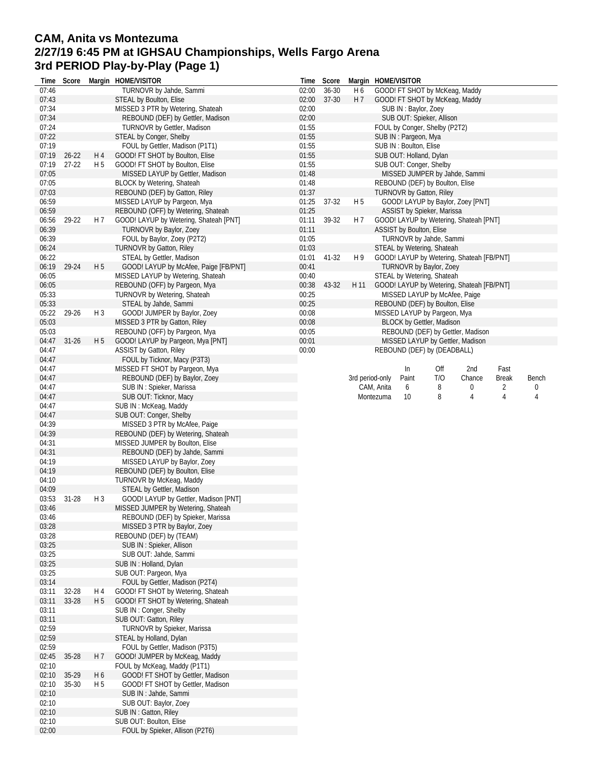## **CAM, Anita vs Montezuma 2/27/19 6:45 PM at IGHSAU Championships, Wells Fargo Arena 3rd PERIOD Play-by-Play (Page 1)**

| Time           | Score     |                                  | Margin HOME/VISITOR                                               |       | Time Score |                | Margin HOME/VISITOR                       |     |        |              |       |
|----------------|-----------|----------------------------------|-------------------------------------------------------------------|-------|------------|----------------|-------------------------------------------|-----|--------|--------------|-------|
| 07:46          |           |                                  | TURNOVR by Jahde, Sammi                                           | 02:00 | 36-30      | H6             | GOOD! FT SHOT by McKeag, Maddy            |     |        |              |       |
| 07:43          |           |                                  | STEAL by Boulton, Elise                                           | 02:00 | 37-30      | H 7            | GOOD! FT SHOT by McKeag, Maddy            |     |        |              |       |
| 07:34          |           |                                  | MISSED 3 PTR by Wetering, Shateah                                 | 02:00 |            |                | SUB IN: Baylor, Zoey                      |     |        |              |       |
| 07:34          |           |                                  | REBOUND (DEF) by Gettler, Madison                                 | 02:00 |            |                | SUB OUT: Spieker, Allison                 |     |        |              |       |
| 07:24          |           |                                  | TURNOVR by Gettler, Madison                                       | 01:55 |            |                | FOUL by Conger, Shelby (P2T2)             |     |        |              |       |
| 07:22          |           |                                  | STEAL by Conger, Shelby                                           | 01:55 |            |                | SUB IN: Pargeon, Mya                      |     |        |              |       |
| 07:19          |           |                                  | FOUL by Gettler, Madison (P1T1)                                   | 01:55 |            |                | SUB IN: Boulton, Elise                    |     |        |              |       |
| 07:19          | $26 - 22$ | H4                               | GOOD! FT SHOT by Boulton, Elise                                   | 01:55 |            |                | SUB OUT: Holland, Dylan                   |     |        |              |       |
| 07:19          | $27 - 22$ | H <sub>5</sub>                   | GOOD! FT SHOT by Boulton, Elise                                   | 01:55 |            |                | SUB OUT: Conger, Shelby                   |     |        |              |       |
| 07:05          |           |                                  | MISSED LAYUP by Gettler, Madison                                  | 01:48 |            |                | MISSED JUMPER by Jahde, Sammi             |     |        |              |       |
| 07:05          |           |                                  | BLOCK by Wetering, Shateah                                        | 01:48 |            |                | REBOUND (DEF) by Boulton, Elise           |     |        |              |       |
| 07:03          |           |                                  | REBOUND (DEF) by Gatton, Riley                                    | 01:37 |            |                | <b>TURNOVR by Gatton, Riley</b>           |     |        |              |       |
| 06:59          |           |                                  | MISSED LAYUP by Pargeon, Mya                                      | 01:25 | 37-32      | H 5            | GOOD! LAYUP by Baylor, Zoey [PNT]         |     |        |              |       |
| 06:59          |           |                                  | REBOUND (OFF) by Wetering, Shateah                                | 01:25 |            |                | ASSIST by Spieker, Marissa                |     |        |              |       |
| 06:56          | 29-22     | H 7                              | GOOD! LAYUP by Wetering, Shateah [PNT]                            | 01:11 | 39-32      | H 7            | GOOD! LAYUP by Wetering, Shateah [PNT]    |     |        |              |       |
| 06:39          |           |                                  | TURNOVR by Baylor, Zoey                                           | 01:11 |            |                | ASSIST by Boulton, Elise                  |     |        |              |       |
| 06:39          |           |                                  | FOUL by Baylor, Zoey (P2T2)                                       | 01:05 |            |                | TURNOVR by Jahde, Sammi                   |     |        |              |       |
| 06:24          |           |                                  | TURNOVR by Gatton, Riley                                          | 01:03 |            |                | STEAL by Wetering, Shateah                |     |        |              |       |
| 06:22          |           |                                  | STEAL by Gettler, Madison                                         | 01:01 | 41-32      | H <sub>9</sub> | GOOD! LAYUP by Wetering, Shateah [FB/PNT] |     |        |              |       |
| 06:19          | 29-24     | H <sub>5</sub>                   | GOOD! LAYUP by McAfee, Paige [FB/PNT]                             | 00:41 |            |                | <b>TURNOVR by Baylor, Zoey</b>            |     |        |              |       |
| 06:05          |           |                                  | MISSED LAYUP by Wetering, Shateah                                 | 00:40 |            |                | STEAL by Wetering, Shateah                |     |        |              |       |
| 06:05          |           |                                  | REBOUND (OFF) by Pargeon, Mya                                     | 00:38 | 43-32      | H 11           | GOOD! LAYUP by Wetering, Shateah [FB/PNT] |     |        |              |       |
| 05:33          |           |                                  | TURNOVR by Wetering, Shateah                                      | 00:25 |            |                | MISSED LAYUP by McAfee, Paige             |     |        |              |       |
| 05:33          |           |                                  | STEAL by Jahde, Sammi                                             | 00:25 |            |                | REBOUND (DEF) by Boulton, Elise           |     |        |              |       |
| 05:22          | 29-26     | H <sub>3</sub>                   | GOOD! JUMPER by Baylor, Zoey                                      | 00:08 |            |                | MISSED LAYUP by Pargeon, Mya              |     |        |              |       |
| 05:03          |           |                                  |                                                                   | 00:08 |            |                |                                           |     |        |              |       |
|                |           |                                  | MISSED 3 PTR by Gatton, Riley                                     |       |            |                | BLOCK by Gettler, Madison                 |     |        |              |       |
| 05:03          |           |                                  | REBOUND (OFF) by Pargeon, Mya                                     | 00:05 |            |                | REBOUND (DEF) by Gettler, Madison         |     |        |              |       |
| 04:47          | $31 - 26$ | H <sub>5</sub>                   | GOOD! LAYUP by Pargeon, Mya [PNT]                                 | 00:01 |            |                | MISSED LAYUP by Gettler, Madison          |     |        |              |       |
| 04:47          |           |                                  | ASSIST by Gatton, Riley                                           | 00:00 |            |                | REBOUND (DEF) by (DEADBALL)               |     |        |              |       |
| 04:47          |           |                                  | FOUL by Ticknor, Macy (P3T3)                                      |       |            |                |                                           |     |        |              |       |
| 04:47          |           |                                  | MISSED FT SHOT by Pargeon, Mya                                    |       |            |                | In                                        | Off | 2nd    | Fast         |       |
| 04:47          |           |                                  | REBOUND (DEF) by Baylor, Zoey                                     |       |            |                | 3rd period-only<br>Paint                  | T/O | Chance | <b>Break</b> | Bench |
| 04:47          |           |                                  | SUB IN: Spieker, Marissa                                          |       |            |                | CAM, Anita<br>6                           | 8   | 0      | 2            | 0     |
| 04:47          |           |                                  | SUB OUT: Ticknor, Macy                                            |       |            |                | Montezuma<br>10                           | 8   | 4      | 4            | 4     |
| 04:47          |           |                                  | SUB IN: McKeag, Maddy                                             |       |            |                |                                           |     |        |              |       |
| 04:47          |           |                                  | SUB OUT: Conger, Shelby                                           |       |            |                |                                           |     |        |              |       |
| 04:39          |           |                                  | MISSED 3 PTR by McAfee, Paige                                     |       |            |                |                                           |     |        |              |       |
| 04:39          |           |                                  | REBOUND (DEF) by Wetering, Shateah                                |       |            |                |                                           |     |        |              |       |
| 04:31          |           |                                  | MISSED JUMPER by Boulton, Elise                                   |       |            |                |                                           |     |        |              |       |
| 04:31          |           |                                  | REBOUND (DEF) by Jahde, Sammi                                     |       |            |                |                                           |     |        |              |       |
| 04:19          |           |                                  | MISSED LAYUP by Baylor, Zoey                                      |       |            |                |                                           |     |        |              |       |
| 04:19          |           |                                  | REBOUND (DEF) by Boulton, Elise                                   |       |            |                |                                           |     |        |              |       |
| 04:10          |           |                                  | TURNOVR by McKeag, Maddy                                          |       |            |                |                                           |     |        |              |       |
| 04:09          |           |                                  | STEAL by Gettler, Madison                                         |       |            |                |                                           |     |        |              |       |
| 03:53          | $31 - 28$ | H 3                              | GOOD! LAYUP by Gettler, Madison [PNT]                             |       |            |                |                                           |     |        |              |       |
| 03:46          |           |                                  | MISSED JUMPER by Wetering, Shateah                                |       |            |                |                                           |     |        |              |       |
| 03:46          |           |                                  | REBOUND (DEF) by Spieker, Marissa                                 |       |            |                |                                           |     |        |              |       |
| 03:28          |           |                                  | MISSED 3 PTR by Baylor, Zoey                                      |       |            |                |                                           |     |        |              |       |
| 03:28          |           |                                  | REBOUND (DEF) by (TEAM)                                           |       |            |                |                                           |     |        |              |       |
| 03:25          |           |                                  | SUB IN: Spieker, Allison                                          |       |            |                |                                           |     |        |              |       |
| 03:25          |           |                                  | SUB OUT: Jahde, Sammi                                             |       |            |                |                                           |     |        |              |       |
| 03:25          |           |                                  | SUB IN: Holland, Dylan                                            |       |            |                |                                           |     |        |              |       |
| 03:25          |           |                                  | SUB OUT: Pargeon, Mya                                             |       |            |                |                                           |     |        |              |       |
| 03:14          |           |                                  | FOUL by Gettler, Madison (P2T4)                                   |       |            |                |                                           |     |        |              |       |
| 03:11          | 32-28     | H 4                              | GOOD! FT SHOT by Wetering, Shateah                                |       |            |                |                                           |     |        |              |       |
| 03:11          | 33-28     | H 5                              | GOOD! FT SHOT by Wetering, Shateah                                |       |            |                |                                           |     |        |              |       |
| 03:11          |           |                                  | SUB IN: Conger, Shelby                                            |       |            |                |                                           |     |        |              |       |
| 03:11          |           |                                  | SUB OUT: Gatton, Riley                                            |       |            |                |                                           |     |        |              |       |
| 02:59          |           |                                  | TURNOVR by Spieker, Marissa                                       |       |            |                |                                           |     |        |              |       |
| 02:59          |           |                                  | STEAL by Holland, Dylan                                           |       |            |                |                                           |     |        |              |       |
| 02:59          |           |                                  | FOUL by Gettler, Madison (P3T5)                                   |       |            |                |                                           |     |        |              |       |
| 02:45          | 35-28     | H 7                              | GOOD! JUMPER by McKeag, Maddy                                     |       |            |                |                                           |     |        |              |       |
| 02:10          |           |                                  |                                                                   |       |            |                |                                           |     |        |              |       |
| 02:10          | 35-29     |                                  | FOUL by McKeag, Maddy (P1T1)<br>GOOD! FT SHOT by Gettler, Madison |       |            |                |                                           |     |        |              |       |
| 02:10          | 35-30     | H <sub>6</sub><br>H <sub>5</sub> |                                                                   |       |            |                |                                           |     |        |              |       |
|                |           |                                  | GOOD! FT SHOT by Gettler, Madison                                 |       |            |                |                                           |     |        |              |       |
| 02:10          |           |                                  | SUB IN: Jahde, Sammi                                              |       |            |                |                                           |     |        |              |       |
| 02:10          |           |                                  | SUB OUT: Baylor, Zoey                                             |       |            |                |                                           |     |        |              |       |
| 02:10<br>02:10 |           |                                  | SUB IN: Gatton, Riley<br>SUB OUT: Boulton, Elise                  |       |            |                |                                           |     |        |              |       |
|                |           |                                  |                                                                   |       |            |                |                                           |     |        |              |       |
| 02:00          |           |                                  | FOUL by Spieker, Allison (P2T6)                                   |       |            |                |                                           |     |        |              |       |